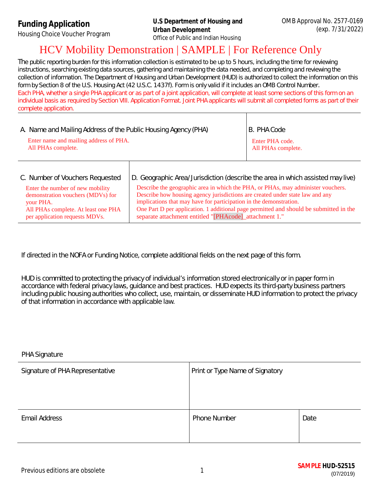**Funding Application**

Housing Choice Voucher Program

# HCV Mobility Demonstration | SAMPLE | For Reference Only

The public reporting burden for this information collection is estimated to be up to 5 hours, including the time for reviewing instructions, searching existing data sources, gathering and maintaining the data needed, and completing and reviewing the collection of information. The Department of Housing and Urban Development (HUD) is authorized to collect the information on this form by Section 8 of the U.S. Housing Act (42 U.S.C. 1437f). Form is only valid if it includes an OMB Control Number. Each PHA, whether a single PHA applicant or as part of a joint application, will complete at least some sections of this form on an individual basis as required by Section VIII. Application Format. Joint PHA applicants will submit *all* completed forms as part of their complete application.

| A. Name and Mailing Address of the Public Housing Agency (PHA) |                                                                                | B. PHA Code        |
|----------------------------------------------------------------|--------------------------------------------------------------------------------|--------------------|
| Enter name and mailing address of PHA.                         |                                                                                | Enter PHA code.    |
| All PHAs complete.                                             |                                                                                | All PHAs complete. |
| C. Number of Vouchers Requested                                | D. Geographic Area/Jurisdiction (describe the area in which assisted may live) |                    |

| Enter the number of new mobility    | Describe the geographic area in which the PHA, or PHAs, may administer vouchers.       |
|-------------------------------------|----------------------------------------------------------------------------------------|
| demonstration vouchers (MDVs) for   | Describe how housing agency jurisdictions are created under state law and any          |
| your PHA.                           | implications that may have for participation in the demonstration.                     |
| All PHAs complete. At least one PHA | One Part D per application. 1 additional page permitted and should be submitted in the |
| per application requests MDVs.      | separate attachment entitled "[PHAcode]_attachment 1."                                 |

If directed in the NOFA or Funding Notice, complete additional fields on the next page of this form.

HUD is committed to protecting the privacy of individual's information stored electronically or in paper form in accordance with federal privacy laws, guidance and best practices. HUD expects its third-party business partners including public housing authorities who collect, use, maintain, or disseminate HUD information to protect the privacy of that information in accordance with applicable law.

| <b>PHA Signature</b>            |                                 |      |  |  |
|---------------------------------|---------------------------------|------|--|--|
| Signature of PHA Representative | Print or Type Name of Signatory |      |  |  |
| <b>Email Address</b>            | <b>Phone Number</b>             | Date |  |  |